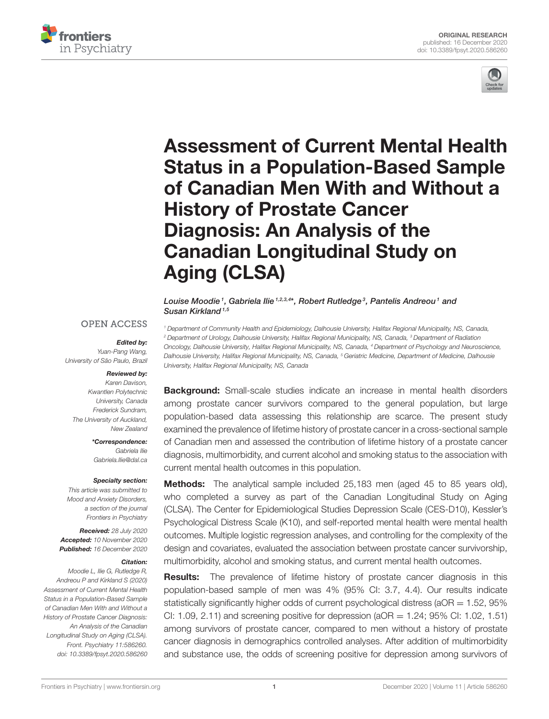



# Assessment of Current Mental Health [Status in a Population-Based Sample](https://www.frontiersin.org/articles/10.3389/fpsyt.2020.586260/full) of Canadian Men With and Without a History of Prostate Cancer Diagnosis: An Analysis of the Canadian Longitudinal Study on Aging (CLSA)

Louise Moodie <sup>1</sup>, Gabriela Ilie <sup>1,2,3,4</sup>\*, Robert Rutledge <sup>3</sup>, Pantelis Andreou <sup>1</sup> and Susan Kirkland<sup>1,5</sup>

### **OPEN ACCESS**

#### *Edited by:*

Yuan-Pang Wang, University of São Paulo, Brazil

#### *Reviewed by:*

Karen Davison, Kwantlen Polytechnic University, Canada Frederick Sundram, The University of Auckland, New Zealand

> *\*Correspondence:* Gabriela Ilie [Gabriela.Ilie@dal.ca](mailto:Gabriela.Ilie@dal.ca)

#### *Specialty section:*

This article was submitted to Mood and Anxiety Disorders, a section of the journal Frontiers in Psychiatry

*Received:* 28 July 2020 *Accepted:* 10 November 2020 *Published:* 16 December 2020

#### *Citation:*

Moodie L, Ilie G, Rutledge R, Andreou P and Kirkland S (2020) Assessment of Current Mental Health Status in a Population-Based Sample of Canadian Men With and Without a History of Prostate Cancer Diagnosis: An Analysis of the Canadian Longitudinal Study on Aging (CLSA). Front. Psychiatry 11:586260. doi: [10.3389/fpsyt.2020.586260](https://doi.org/10.3389/fpsyt.2020.586260)

<sup>1</sup> Department of Community Health and Epidemiology, Dalhousie University, Halifax Regional Municipality, NS, Canada, <sup>2</sup> Department of Urology, Dalhousie University, Halifax Regional Municipality, NS, Canada, <sup>3</sup> Department of Radiation Oncology, Dalhousie University, Halifax Regional Municipality, NS, Canada, <sup>4</sup> Department of Psychology and Neuroscience, Dalhousie University, Halifax Regional Municipality, NS, Canada, <sup>5</sup> Geriatric Medicine, Department of Medicine, Dalhousie University, Halifax Regional Municipality, NS, Canada

**Background:** Small-scale studies indicate an increase in mental health disorders among prostate cancer survivors compared to the general population, but large population-based data assessing this relationship are scarce. The present study examined the prevalence of lifetime history of prostate cancer in a cross-sectional sample of Canadian men and assessed the contribution of lifetime history of a prostate cancer diagnosis, multimorbidity, and current alcohol and smoking status to the association with current mental health outcomes in this population.

**Methods:** The analytical sample included 25,183 men (aged 45 to 85 years old), who completed a survey as part of the Canadian Longitudinal Study on Aging (CLSA). The Center for Epidemiological Studies Depression Scale (CES-D10), Kessler's Psychological Distress Scale (K10), and self-reported mental health were mental health outcomes. Multiple logistic regression analyses, and controlling for the complexity of the design and covariates, evaluated the association between prostate cancer survivorship, multimorbidity, alcohol and smoking status, and current mental health outcomes.

**Results:** The prevalence of lifetime history of prostate cancer diagnosis in this population-based sample of men was 4% (95% CI: 3.7, 4.4). Our results indicate statistically significantly higher odds of current psychological distress ( $aOR = 1.52$ ,  $95\%$ CI: 1.09, 2.11) and screening positive for depression ( $aOR = 1.24$ ; 95% CI: 1.02, 1.51) among survivors of prostate cancer, compared to men without a history of prostate cancer diagnosis in demographics controlled analyses. After addition of multimorbidity and substance use, the odds of screening positive for depression among survivors of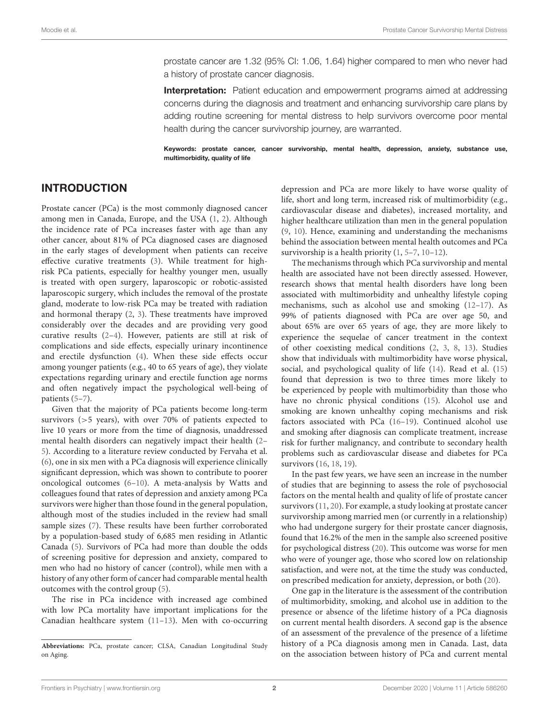prostate cancer are 1.32 (95% CI: 1.06, 1.64) higher compared to men who never had a history of prostate cancer diagnosis.

**Interpretation:** Patient education and empowerment programs aimed at addressing concerns during the diagnosis and treatment and enhancing survivorship care plans by adding routine screening for mental distress to help survivors overcome poor mental health during the cancer survivorship journey, are warranted.

Keywords: prostate cancer, cancer survivorship, mental health, depression, anxiety, substance use, multimorbidity, quality of life

### INTRODUCTION

Prostate cancer (PCa) is the most commonly diagnosed cancer among men in Canada, Europe, and the USA [\(1,](#page-10-0) [2\)](#page-10-1). Although the incidence rate of PCa increases faster with age than any other cancer, about 81% of PCa diagnosed cases are diagnosed in the early stages of development when patients can receive effective curative treatments [\(3\)](#page-10-2). While treatment for highrisk PCa patients, especially for healthy younger men, usually is treated with open surgery, laparoscopic or robotic-assisted laparoscopic surgery, which includes the removal of the prostate gland, moderate to low-risk PCa may be treated with radiation and hormonal therapy [\(2,](#page-10-1) [3\)](#page-10-2). These treatments have improved considerably over the decades and are providing very good curative results [\(2](#page-10-1)[–4\)](#page-10-3). However, patients are still at risk of complications and side effects, especially urinary incontinence and erectile dysfunction [\(4\)](#page-10-3). When these side effects occur among younger patients (e.g., 40 to 65 years of age), they violate expectations regarding urinary and erectile function age norms and often negatively impact the psychological well-being of patients [\(5–](#page-10-4)[7\)](#page-10-5).

Given that the majority of PCa patients become long-term survivors (>5 years), with over 70% of patients expected to live 10 years or more from the time of diagnosis, unaddressed mental health disorders can negatively impact their health [\(2–](#page-10-1) [5\)](#page-10-4). According to a literature review conducted by Fervaha et al. [\(6\)](#page-10-6), one in six men with a PCa diagnosis will experience clinically significant depression, which was shown to contribute to poorer oncological outcomes [\(6](#page-10-6)[–10\)](#page-10-7). A meta-analysis by Watts and colleagues found that rates of depression and anxiety among PCa survivors were higher than those found in the general population, although most of the studies included in the review had small sample sizes [\(7\)](#page-10-5). These results have been further corroborated by a population-based study of 6,685 men residing in Atlantic Canada [\(5\)](#page-10-4). Survivors of PCa had more than double the odds of screening positive for depression and anxiety, compared to men who had no history of cancer (control), while men with a history of any other form of cancer had comparable mental health outcomes with the control group [\(5\)](#page-10-4).

The rise in PCa incidence with increased age combined with low PCa mortality have important implications for the Canadian healthcare system [\(11–](#page-10-8)[13\)](#page-10-9). Men with co-occurring depression and PCa are more likely to have worse quality of life, short and long term, increased risk of multimorbidity (e.g., cardiovascular disease and diabetes), increased mortality, and higher healthcare utilization than men in the general population [\(9,](#page-10-10) [10\)](#page-10-7). Hence, examining and understanding the mechanisms behind the association between mental health outcomes and PCa survivorship is a health priority [\(1,](#page-10-0) [5](#page-10-4)[–7,](#page-10-5) [10](#page-10-7)[–12\)](#page-10-11).

The mechanisms through which PCa survivorship and mental health are associated have not been directly assessed. However, research shows that mental health disorders have long been associated with multimorbidity and unhealthy lifestyle coping mechanisms, such as alcohol use and smoking [\(12–](#page-10-11)[17\)](#page-10-12). As 99% of patients diagnosed with PCa are over age 50, and about 65% are over 65 years of age, they are more likely to experience the sequelae of cancer treatment in the context of other coexisting medical conditions [\(2,](#page-10-1) [3,](#page-10-2) [8,](#page-10-13) [13\)](#page-10-9). Studies show that individuals with multimorbidity have worse physical, social, and psychological quality of life [\(14\)](#page-10-14). Read et al. [\(15\)](#page-10-15) found that depression is two to three times more likely to be experienced by people with multimorbidity than those who have no chronic physical conditions [\(15\)](#page-10-15). Alcohol use and smoking are known unhealthy coping mechanisms and risk factors associated with PCa [\(16–](#page-10-16)[19\)](#page-10-17). Continued alcohol use and smoking after diagnosis can complicate treatment, increase risk for further malignancy, and contribute to secondary health problems such as cardiovascular disease and diabetes for PCa survivors [\(16,](#page-10-16) [18,](#page-10-18) [19\)](#page-10-17).

In the past few years, we have seen an increase in the number of studies that are beginning to assess the role of psychosocial factors on the mental health and quality of life of prostate cancer survivors [\(11,](#page-10-8) [20\)](#page-10-19). For example, a study looking at prostate cancer survivorship among married men (or currently in a relationship) who had undergone surgery for their prostate cancer diagnosis, found that 16.2% of the men in the sample also screened positive for psychological distress [\(20\)](#page-10-19). This outcome was worse for men who were of younger age, those who scored low on relationship satisfaction, and were not, at the time the study was conducted, on prescribed medication for anxiety, depression, or both [\(20\)](#page-10-19).

One gap in the literature is the assessment of the contribution of multimorbidity, smoking, and alcohol use in addition to the presence or absence of the lifetime history of a PCa diagnosis on current mental health disorders. A second gap is the absence of an assessment of the prevalence of the presence of a lifetime history of a PCa diagnosis among men in Canada. Last, data on the association between history of PCa and current mental

**Abbreviations:** PCa, prostate cancer; CLSA, Canadian Longitudinal Study on Aging.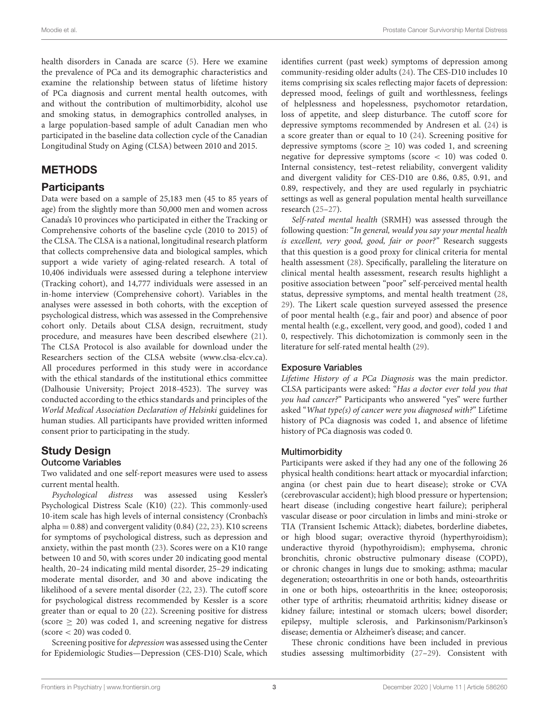health disorders in Canada are scarce [\(5\)](#page-10-4). Here we examine the prevalence of PCa and its demographic characteristics and examine the relationship between status of lifetime history of PCa diagnosis and current mental health outcomes, with and without the contribution of multimorbidity, alcohol use and smoking status, in demographics controlled analyses, in a large population-based sample of adult Canadian men who participated in the baseline data collection cycle of the Canadian Longitudinal Study on Aging (CLSA) between 2010 and 2015.

### METHODS

### **Participants**

Data were based on a sample of 25,183 men (45 to 85 years of age) from the slightly more than 50,000 men and women across Canada's 10 provinces who participated in either the Tracking or Comprehensive cohorts of the baseline cycle (2010 to 2015) of the CLSA. The CLSA is a national, longitudinal research platform that collects comprehensive data and biological samples, which support a wide variety of aging-related research. A total of 10,406 individuals were assessed during a telephone interview (Tracking cohort), and 14,777 individuals were assessed in an in-home interview (Comprehensive cohort). Variables in the analyses were assessed in both cohorts, with the exception of psychological distress, which was assessed in the Comprehensive cohort only. Details about CLSA design, recruitment, study procedure, and measures have been described elsewhere [\(21\)](#page-10-20). The CLSA Protocol is also available for download under the Researchers section of the CLSA website [\(www.clsa-elcv.ca\)](http://www.clsa-elcv.ca). All procedures performed in this study were in accordance with the ethical standards of the institutional ethics committee (Dalhousie University; Project 2018-4523). The survey was conducted according to the ethics standards and principles of the World Medical Association Declaration of Helsinki guidelines for human studies. All participants have provided written informed consent prior to participating in the study.

### Study Design

#### Outcome Variables

Two validated and one self-report measures were used to assess current mental health.

Psychological distress was assessed using Kessler's Psychological Distress Scale (K10) [\(22\)](#page-10-21). This commonly-used 10-item scale has high levels of internal consistency (Cronbach's alpha =  $0.88$ ) and convergent validity  $(0.84)$   $(22, 23)$  $(22, 23)$ . K10 screens for symptoms of psychological distress, such as depression and anxiety, within the past month [\(23\)](#page-10-22). Scores were on a K10 range between 10 and 50, with scores under 20 indicating good mental health, 20–24 indicating mild mental disorder, 25–29 indicating moderate mental disorder, and 30 and above indicating the likelihood of a severe mental disorder [\(22,](#page-10-21) [23\)](#page-10-22). The cutoff score for psychological distress recommended by Kessler is a score greater than or equal to 20 [\(22\)](#page-10-21). Screening positive for distress (score  $\geq$  20) was coded 1, and screening negative for distress  $(\text{score} < 20)$  was coded 0.

Screening positive for depression was assessed using the Center for Epidemiologic Studies—Depression (CES-D10) Scale, which identifies current (past week) symptoms of depression among community-residing older adults [\(24\)](#page-10-23). The CES-D10 includes 10 items comprising six scales reflecting major facets of depression: depressed mood, feelings of guilt and worthlessness, feelings of helplessness and hopelessness, psychomotor retardation, loss of appetite, and sleep disturbance. The cutoff score for depressive symptoms recommended by Andresen et al. [\(24\)](#page-10-23) is a score greater than or equal to 10 [\(24\)](#page-10-23). Screening positive for depressive symptoms (score  $\geq$  10) was coded 1, and screening negative for depressive symptoms (score < 10) was coded 0. Internal consistency, test–retest reliability, convergent validity and divergent validity for CES-D10 are 0.86, 0.85, 0.91, and 0.89, respectively, and they are used regularly in psychiatric settings as well as general population mental health surveillance research [\(25](#page-10-24)[–27\)](#page-10-25).

Self-rated mental health (SRMH) was assessed through the following question: "In general, would you say your mental health is excellent, very good, good, fair or poor?" Research suggests that this question is a good proxy for clinical criteria for mental health assessment [\(28\)](#page-10-26). Specifically, paralleling the literature on clinical mental health assessment, research results highlight a positive association between "poor" self-perceived mental health status, depressive symptoms, and mental health treatment [\(28,](#page-10-26) [29\)](#page-10-27). The Likert scale question surveyed assessed the presence of poor mental health (e.g., fair and poor) and absence of poor mental health (e.g., excellent, very good, and good), coded 1 and 0, respectively. This dichotomization is commonly seen in the literature for self-rated mental health [\(29\)](#page-10-27).

#### Exposure Variables

Lifetime History of a PCa Diagnosis was the main predictor. CLSA participants were asked: "Has a doctor ever told you that you had cancer?" Participants who answered "yes" were further asked "What type(s) of cancer were you diagnosed with?" Lifetime history of PCa diagnosis was coded 1, and absence of lifetime history of PCa diagnosis was coded 0.

#### **Multimorbidity**

Participants were asked if they had any one of the following 26 physical health conditions: heart attack or myocardial infarction; angina (or chest pain due to heart disease); stroke or CVA (cerebrovascular accident); high blood pressure or hypertension; heart disease (including congestive heart failure); peripheral vascular disease or poor circulation in limbs and mini-stroke or TIA (Transient Ischemic Attack); diabetes, borderline diabetes, or high blood sugar; overactive thyroid (hyperthyroidism); underactive thyroid (hypothyroidism); emphysema, chronic bronchitis, chronic obstructive pulmonary disease (COPD), or chronic changes in lungs due to smoking; asthma; macular degeneration; osteoarthritis in one or both hands, osteoarthritis in one or both hips, osteoarthritis in the knee; osteoporosis; other type of arthritis; rheumatoid arthritis; kidney disease or kidney failure; intestinal or stomach ulcers; bowel disorder; epilepsy, multiple sclerosis, and Parkinsonism/Parkinson's disease; dementia or Alzheimer's disease; and cancer.

These chronic conditions have been included in previous studies assessing multimorbidity [\(27–](#page-10-25)[29\)](#page-10-27). Consistent with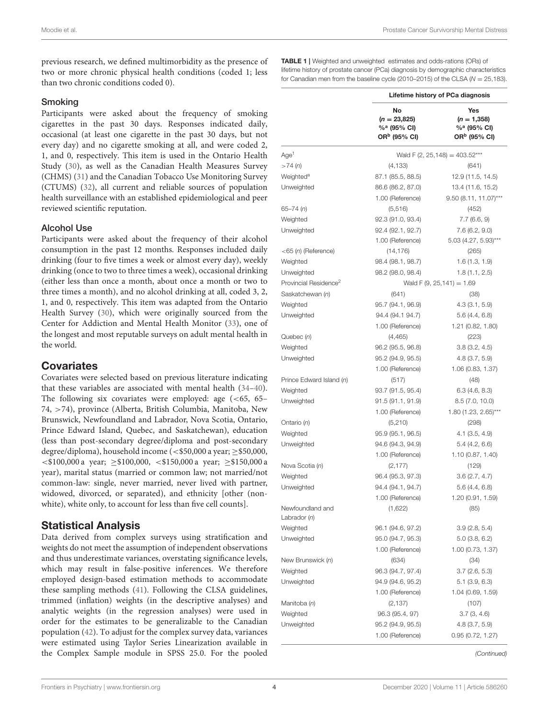previous research, we defined multimorbidity as the presence of two or more chronic physical health conditions (coded 1; less than two chronic conditions coded 0).

#### Smoking

Participants were asked about the frequency of smoking cigarettes in the past 30 days. Responses indicated daily, occasional (at least one cigarette in the past 30 days, but not every day) and no cigarette smoking at all, and were coded 2, 1, and 0, respectively. This item is used in the Ontario Health Study [\(30\)](#page-10-28), as well as the Canadian Health Measures Survey (CHMS) [\(31\)](#page-10-29) and the Canadian Tobacco Use Monitoring Survey (CTUMS) [\(32\)](#page-10-30), all current and reliable sources of population health surveillance with an established epidemiological and peer reviewed scientific reputation.

#### Alcohol Use

Participants were asked about the frequency of their alcohol consumption in the past 12 months. Responses included daily drinking (four to five times a week or almost every day), weekly drinking (once to two to three times a week), occasional drinking (either less than once a month, about once a month or two to three times a month), and no alcohol drinking at all, coded 3, 2, 1, and 0, respectively. This item was adapted from the Ontario Health Survey [\(30\)](#page-10-28), which were originally sourced from the Center for Addiction and Mental Health Monitor [\(33\)](#page-10-31), one of the longest and most reputable surveys on adult mental health in the world.

### **Covariates**

Covariates were selected based on previous literature indicating that these variables are associated with mental health [\(34–](#page-10-32)[40\)](#page-11-0). The following six covariates were employed: age (<65, 65– 74, >74), province (Alberta, British Columbia, Manitoba, New Brunswick, Newfoundland and Labrador, Nova Scotia, Ontario, Prince Edward Island, Quebec, and Saskatchewan), education (less than post-secondary degree/diploma and post-secondary degree/diploma), household income (<\$50,000 a year;  $\ge$ \$50,000,  $\langle 100,000 \text{ a year}; \geq 100,000, \langle 150,000 \text{ a year}; \geq 150,000 \text{ a year} \rangle$ year), marital status (married or common law; not married/not common-law: single, never married, never lived with partner, widowed, divorced, or separated), and ethnicity [other (nonwhite), white only, to account for less than five cell counts].

### Statistical Analysis

Data derived from complex surveys using stratification and weights do not meet the assumption of independent observations and thus underestimate variances, overstating significance levels, which may result in false-positive inferences. We therefore employed design-based estimation methods to accommodate these sampling methods [\(41\)](#page-11-1). Following the CLSA guidelines, trimmed (inflation) weights (in the descriptive analyses) and analytic weights (in the regression analyses) were used in order for the estimates to be generalizable to the Canadian population [\(42\)](#page-11-2). To adjust for the complex survey data, variances were estimated using Taylor Series Linearization available in the Complex Sample module in SPSS 25.0. For the pooled

<span id="page-3-0"></span>TABLE 1 | Weighted and unweighted estimates and odds-rations (ORs) of lifetime history of prostate cancer (PCa) diagnosis by demographic characteristics for Canadian men from the baseline cycle (2010–2015) of the CLSA ( $N = 25,183$ ).

|                                   | Lifetime history of PCa diagnosis                                           |                                                                             |
|-----------------------------------|-----------------------------------------------------------------------------|-----------------------------------------------------------------------------|
|                                   | No<br>$(n = 23,825)$<br>% <sup>a</sup> (95% CI)<br>OR <sup>b</sup> (95% CI) | Yes<br>$(n = 1,358)$<br>% <sup>a</sup> (95% CI)<br>OR <sup>b</sup> (95% CI) |
| Age <sup>1</sup>                  |                                                                             | Wald F (2, 25, 148) = $403.52***$                                           |
| >74(h)                            | (4, 133)                                                                    | (641)                                                                       |
| Weighted <sup>a</sup>             | 87.1 (85.5, 88.5)                                                           | 12.9 (11.5, 14.5)                                                           |
| Unweighted                        | 86.6 (86.2, 87.0)                                                           | 13.4 (11.6, 15.2)                                                           |
|                                   | 1.00 (Reference)                                                            | $9.50(8.11, 11.07)$ ***                                                     |
| 65–74 (n)                         | (5, 516)                                                                    | (452)                                                                       |
| Weighted                          | 92.3 (91.0, 93.4)                                                           | 7.7(6.6, 9)                                                                 |
| Unweighted                        | 92.4 (92.1, 92.7)                                                           | 7.6(6.2, 9.0)                                                               |
|                                   | 1.00 (Reference)                                                            | 5.03 (4.27, 5.93)***                                                        |
| $<$ 65 (n) (Reference)            | (14, 176)                                                                   | (265)                                                                       |
| Weighted                          | 98.4 (98.1, 98.7)                                                           | 1.6(1.3, 1.9)                                                               |
| Unweighted                        | 98.2 (98.0, 98.4)                                                           | 1.8(1.1, 2.5)                                                               |
| Provincial Residence <sup>2</sup> |                                                                             | Wald F (9, 25, 141) = $1.69$                                                |
| Saskatchewan (n)                  | (641)                                                                       | (38)                                                                        |
| Weighted                          | 95.7 (94.1, 96.9)                                                           | 4.3(3.1, 5.9)                                                               |
| Unweighted                        | 94.4 (94.1 94.7)                                                            | 5.6(4.4, 6.8)                                                               |
|                                   | 1.00 (Reference)                                                            | 1.21 (0.82, 1.80)                                                           |
| Quebec (n)                        | (4, 465)                                                                    | (223)                                                                       |
| Weighted                          | 96.2 (95.5, 96.8)                                                           | 3.8(3.2, 4.5)                                                               |
| Unweighted                        | 95.2 (94.9, 95.5)                                                           | 4.8(3.7, 5.9)                                                               |
|                                   | 1.00 (Reference)                                                            | 1.06 (0.83, 1.37)                                                           |
| Prince Edward Island (n)          | (517)                                                                       | (48)                                                                        |
| Weighted                          | 93.7 (91.5, 95.4)                                                           | 6.3(4.6, 8.3)                                                               |
| Unweighted                        | 91.5 (91.1, 91.9)                                                           | 8.5 (7.0, 10.0)                                                             |
|                                   | 1.00 (Reference)                                                            | 1.80 (1.23, 2.65)***                                                        |
| Ontario (n)                       | (5, 210)                                                                    | (298)                                                                       |
| Weighted                          | 95.9 (95.1, 96.5)                                                           | $4.1$ $(3.5, 4.9)$                                                          |
| Unweighted                        | 94.6 (94.3, 94.9)                                                           | 5.4(4.2, 6.6)                                                               |
|                                   | 1.00 (Reference)                                                            | 1.10 (0.87, 1.40)                                                           |
| Nova Scotia (n)                   | (2, 177)                                                                    | (129)                                                                       |
| Weighted                          | 96.4 (95.3, 97.3)                                                           |                                                                             |
| Unweighted                        | 94.4 (94.1, 94.7)                                                           | 3.6(2.7, 4.7)                                                               |
|                                   | 1.00 (Reference)                                                            | 5.6(4.4, 6.8)<br>1.20 (0.91, 1.59)                                          |
| Newfoundland and                  |                                                                             |                                                                             |
| Labrador (n)                      | (1,622)                                                                     | (85)                                                                        |
| Weighted                          | 96.1 (94.6, 97.2)                                                           | 3.9(2.8, 5.4)                                                               |
| Unweighted                        | 95.0 (94.7, 95.3)                                                           | 5.0(3.8, 6.2)                                                               |
|                                   | 1.00 (Reference)                                                            | 1.00 (0.73, 1.37)                                                           |
| New Brunswick (n)                 | (634)                                                                       | (34)                                                                        |
| Weighted                          | 96.3 (94.7, 97.4)                                                           | 3.7(2.6, 5.3)                                                               |
| Unweighted                        | 94.9 (94.6, 95.2)                                                           | 5.1(3.9, 6.3)                                                               |
|                                   | 1.00 (Reference)                                                            |                                                                             |
|                                   |                                                                             | 1.04 (0.69, 1.59)                                                           |
| Manitoba (n)                      | (2, 137)                                                                    | (107)                                                                       |
| Weighted                          | 96.3 (95.4, 97)                                                             | 3.7(3, 4.6)                                                                 |
| Unweighted                        | 95.2 (94.9, 95.5)                                                           | 4.8 (3.7, 5.9)                                                              |
|                                   | 1.00 (Reference)                                                            | 0.95(0.72, 1.27)                                                            |

(Continued)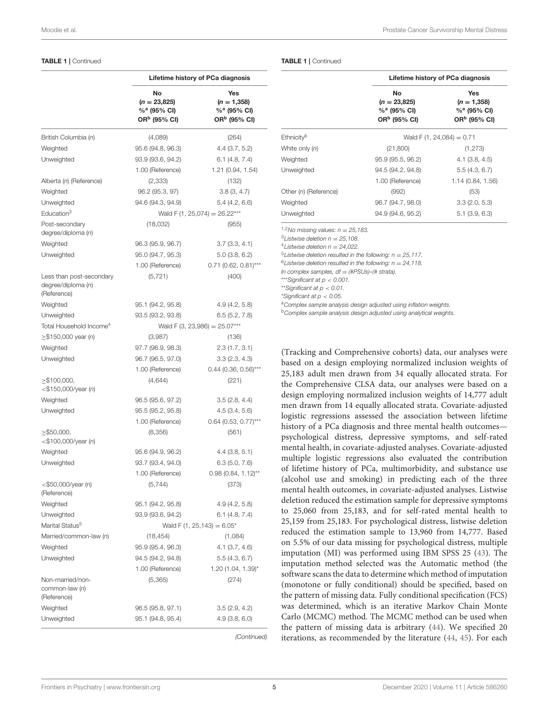#### TABLE 1 | Continued

|                                                               | Lifetime history of PCa diagnosis                               |                                                                             |
|---------------------------------------------------------------|-----------------------------------------------------------------|-----------------------------------------------------------------------------|
|                                                               | No<br>$(n = 23,825)$<br>%ª (95% CI)<br>OR <sup>b</sup> (95% CI) | Yes<br>$(n = 1,358)$<br>% <sup>a</sup> (95% CI)<br>OR <sup>b</sup> (95% CI) |
| British Columbia (n)                                          | (4,089)                                                         | (264)                                                                       |
| Weighted                                                      | 95.6 (94.8, 96.3)                                               | 4.4(3.7, 5.2)                                                               |
| Unweighted                                                    | 93.9 (93.6, 94.2)                                               | 6.1(4.8, 7.4)                                                               |
|                                                               | 1.00 (Reference)                                                | 1.21 (0.94, 1.54)                                                           |
| Alberta (n) (Reference)                                       | (2,333)                                                         | (132)                                                                       |
| Weighted                                                      | 96.2 (95.3, 97)                                                 | 3.8(3, 4.7)                                                                 |
| Unweighted                                                    | 94.6 (94.3, 94.9)                                               | 5.4(4.2, 6.6)                                                               |
| Education <sup>3</sup>                                        |                                                                 | Wald F (1, 25,074) = $26.22***$                                             |
| Post-secondary<br>degree/diploma (n)                          | (18,032)                                                        | (955)                                                                       |
| Weighted                                                      | 96.3 (95.9, 96.7)                                               | 3.7(3.3, 4.1)                                                               |
| Unweighted                                                    | 95.0 (94.7, 95.3)                                               | 5.0(3.8, 6.2)                                                               |
|                                                               | 1.00 (Reference)                                                | $0.71$ (0.62, 0.81)***                                                      |
| Less than post-secondary<br>degree/diploma (n)<br>(Reference) | (5, 721)                                                        | (400)                                                                       |
| Weighted                                                      | 95.1 (94.2, 95.8)                                               | 4.9(4.2, 5.8)                                                               |
| Unweighted                                                    | 93.5 (93.2, 93.8)                                               | 6.5(5.2, 7.8)                                                               |
| Total Household Income <sup>4</sup>                           |                                                                 | Wald F (3, 23,986) = $25.07***$                                             |
| $\ge$ \$150,000 year (n)                                      | (3,987)                                                         | (136)                                                                       |
| Weighted                                                      | 97.7 (96.9, 98.3)                                               | 2.3(1.7, 3.1)                                                               |
| Unweighted                                                    | 96.7 (96.5, 97.0)                                               | 3.3(2.3, 4.3)                                                               |
|                                                               | 1.00 (Reference)                                                | $0.44$ (0.36, 0.56)***                                                      |
| $\geq$ \$100,000,<br>$<$ \$150,000/year (n)                   | (4,644)                                                         | (221)                                                                       |
| Weighted                                                      | 96.5 (95.6, 97.2)                                               | 3.5(2.8, 4.4)                                                               |
| Unweighted                                                    | 95.5 (95.2, 95.8)                                               | 4.5(3.4, 5.6)                                                               |
|                                                               | 1.00 (Reference)                                                | $0.64$ (0.53, 0.77)***                                                      |
| $\geq$ \$50,000,<br>$<$ \$100,000/year (n)                    | (8,356)                                                         | (561)                                                                       |
| Weighted                                                      | 95.6 (94.9, 96.2)                                               | 4.4(3.8, 5.1)                                                               |
| Unweighted                                                    | 93.7 (93.4, 94.0)                                               | 6.3(5.0, 7.6)                                                               |
|                                                               | 1.00 (Reference)                                                | $0.98$ (0.84, 1.12)**                                                       |
| $<$ \$50,000/year (n)<br>(Reference)                          | (5,744)                                                         | (373)                                                                       |
| Weighted                                                      | 95.1 (94.2, 95.8)                                               | 4.9(4.2, 5.8)                                                               |
| Unweighted                                                    | 93.9 (93.6, 94.2)                                               | $6.1$ (4.8, 7.4)                                                            |
| Marital Status <sup>5</sup>                                   |                                                                 | Wald F (1, 25, 143) = $6.05^*$                                              |
| Married/common-law (n)                                        | (18, 454)                                                       | (1,084)                                                                     |
| Weighted                                                      | 95.9 (95.4, 96.3)                                               | 4.1(3.7, 4.6)                                                               |
| Unweighted                                                    | 94.5 (94.2, 94.8)                                               | 5.5(4.3, 6.7)                                                               |
|                                                               | 1.00 (Reference)                                                | 1.20 (1.04, 1.39)*                                                          |
| Non-married/non-<br>common-law (n)<br>(Reference)             | (5,365)                                                         | (274)                                                                       |
| Weighted                                                      | 96.5 (95.8, 97.1)                                               | 3.5(2.9, 4.2)                                                               |
| Unweighted                                                    | 95.1 (94.8, 95.4)                                               | 4.9(3.8, 6.0)                                                               |

(Continued)

|                        | Lifetime history of PCa diagnosis                                             |                                                                               |  |
|------------------------|-------------------------------------------------------------------------------|-------------------------------------------------------------------------------|--|
|                        | No<br>$(n = 23,825)$<br>$%$ <sup>a</sup> (95% CI)<br>OR <sup>b</sup> (95% CI) | Yes<br>$(n = 1,358)$<br>$%$ <sup>a</sup> (95% CI)<br>OR <sup>b</sup> (95% CI) |  |
| Ethnicitv <sup>6</sup> | Wald F $(1, 24, 084) = 0.71$                                                  |                                                                               |  |
| White only (n)         | (21, 800)                                                                     | (1, 273)                                                                      |  |
| Weighted               | 95.9 (95.5, 96.2)                                                             | 4.1(3.8, 4.5)                                                                 |  |
| Unweighted             | 94.5 (94.2, 94.8)                                                             | 5.5(4.3, 6.7)                                                                 |  |
|                        | 1.00 (Reference)                                                              | 1.14(0.84, 1.56)                                                              |  |
| Other (n) (Reference)  | (992)                                                                         | (53)                                                                          |  |
| Weighted               | 96.7 (94.7, 98.0)                                                             | 3.3(2.0, 5.3)                                                                 |  |
| Unweighted             | 94.9 (94.6, 95.2)                                                             | 5.1(3.9, 6.3)                                                                 |  |

 $1,2$ No missing values:  $n = 25,183$ .

 $31$  istwise deletion  $n = 25,108$ .

<sup>4</sup> Listwise deletion  $n = 24,022$ .

 $5$ Listwise deletion resulted in the following:  $n = 25,117$ .

 $6$ Listwise deletion resulted in the following:  $n = 24,118$ .

In complex samples,  $df = (\#PSUs)$ -(# strata).

\*\*\*Significant at  $p < 0.001$ .

\*\*Significant at p < 0.01.

\*Significant at p < 0.05.

a Complex sample analysis design adjusted using inflation weights.

**bComplex sample analysis design adjusted using analytical weights.** 

(Tracking and Comprehensive cohorts) data, our analyses were based on a design employing normalized inclusion weights of 25,183 adult men drawn from 34 equally allocated strata. For the Comprehensive CLSA data, our analyses were based on a design employing normalized inclusion weights of 14,777 adult men drawn from 14 equally allocated strata. Covariate-adjusted logistic regressions assessed the association between lifetime history of a PCa diagnosis and three mental health outcomes psychological distress, depressive symptoms, and self-rated mental health, in covariate-adjusted analyses. Covariate-adjusted multiple logistic regressions also evaluated the contribution of lifetime history of PCa, multimorbidity, and substance use (alcohol use and smoking) in predicting each of the three mental health outcomes, in covariate-adjusted analyses. Listwise deletion reduced the estimation sample for depressive symptoms to 25,060 from 25,183, and for self-rated mental health to 25,159 from 25,183. For psychological distress, listwise deletion reduced the estimation sample to 13,960 from 14,777. Based on 5.5% of our data missing for psychological distress, multiple imputation (MI) was performed using IBM SPSS 25 [\(43\)](#page-11-3). The imputation method selected was the Automatic method (the software scans the data to determine which method of imputation (monotone or fully conditional) should be specified, based on the pattern of missing data. Fully conditional specification (FCS) was determined, which is an iterative Markov Chain Monte Carlo (MCMC) method. The MCMC method can be used when the pattern of missing data is arbitrary [\(44\)](#page-11-4). We specified 20 iterations, as recommended by the literature [\(44,](#page-11-4) [45\)](#page-11-5). For each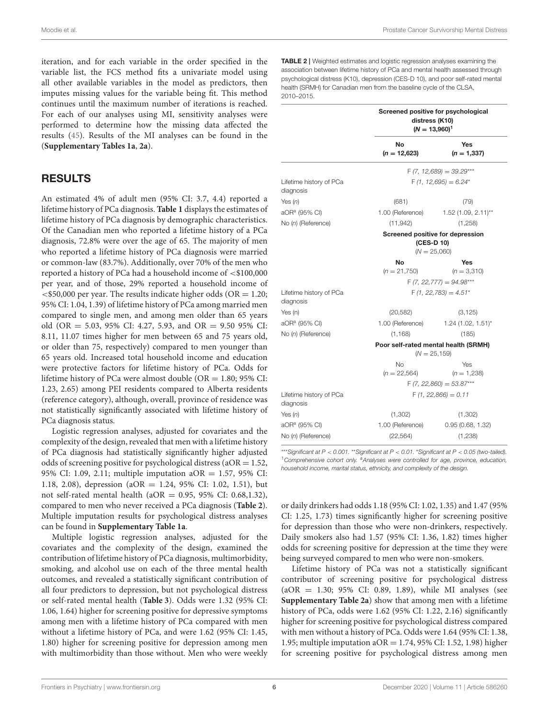iteration, and for each variable in the order specified in the variable list, the FCS method fits a univariate model using all other available variables in the model as predictors, then imputes missing values for the variable being fit. This method continues until the maximum number of iterations is reached. For each of our analyses using MI, sensitivity analyses were performed to determine how the missing data affected the results [\(45\)](#page-11-5). Results of the MI analyses can be found in the (**[Supplementary Tables 1a](#page-10-33)**, **[2a](#page-10-33)**).

### RESULTS

An estimated 4% of adult men (95% CI: 3.7, 4.4) reported a lifetime history of PCa diagnosis. **[Table 1](#page-3-0)** displays the estimates of lifetime history of PCa diagnosis by demographic characteristics. Of the Canadian men who reported a lifetime history of a PCa diagnosis, 72.8% were over the age of 65. The majority of men who reported a lifetime history of PCa diagnosis were married or common-law (83.7%). Additionally, over 70% of the men who reported a history of PCa had a household income of <\$100,000 per year, and of those, 29% reported a household income of  $\langle$  <\$50,000 per year. The results indicate higher odds (OR = 1.20; 95% CI: 1.04, 1.39) of lifetime history of PCa among married men compared to single men, and among men older than 65 years old (OR = 5.03, 95% CI: 4.27, 5.93, and OR = 9.50 95% CI: 8.11, 11.07 times higher for men between 65 and 75 years old, or older than 75, respectively) compared to men younger than 65 years old. Increased total household income and education were protective factors for lifetime history of PCa. Odds for lifetime history of PCa were almost double ( $OR = 1.80$ ; 95% CI: 1.23, 2.65) among PEI residents compared to Alberta residents (reference category), although, overall, province of residence was not statistically significantly associated with lifetime history of PCa diagnosis status.

Logistic regression analyses, adjusted for covariates and the complexity of the design, revealed that men with a lifetime history of PCa diagnosis had statistically significantly higher adjusted odds of screening positive for psychological distress (aOR =  $1.52$ , 95% CI: 1.09, 2.11; multiple imputation aOR = 1.57, 95% CI: 1.18, 2.08), depression (aOR = 1.24, 95% CI: 1.02, 1.51), but not self-rated mental health ( $aOR = 0.95$ , 95% CI: 0.68,1.32), compared to men who never received a PCa diagnosis (**[Table 2](#page-5-0)**). Multiple imputation results for psychological distress analyses can be found in **[Supplementary Table 1a](#page-10-33)**.

Multiple logistic regression analyses, adjusted for the covariates and the complexity of the design, examined the contribution of lifetime history of PCa diagnosis, multimorbidity, smoking, and alcohol use on each of the three mental health outcomes, and revealed a statistically significant contribution of all four predictors to depression, but not psychological distress or self-rated mental health (**[Table 3](#page-6-0)**). Odds were 1.32 (95% CI: 1.06, 1.64) higher for screening positive for depressive symptoms among men with a lifetime history of PCa compared with men without a lifetime history of PCa, and were 1.62 (95% CI: 1.45, 1.80) higher for screening positive for depression among men with multimorbidity than those without. Men who were weekly

<span id="page-5-0"></span>TABLE 2 | Weighted estimates and logistic regression analyses examining the association between lifetime history of PCa and mental health assessed through psychological distress (K10), depression (CES-D 10), and poor self-rated mental health (SRMH) for Canadian men from the baseline cycle of the CLSA, 2010–2015.

|                                      | Screened positive for psychological<br>distress (K10)<br>$(N = 13,960)^1$ |                                      |
|--------------------------------------|---------------------------------------------------------------------------|--------------------------------------|
|                                      | No<br>$(n = 12,623)$                                                      | Yes<br>$(n = 1,337)$                 |
|                                      |                                                                           | $F(7, 12,689) = 39.29***$            |
| Lifetime history of PCa<br>diagnosis |                                                                           | $F(1, 12, 695) = 6.24*$              |
| Yes $(n)$                            | (681)                                                                     | (79)                                 |
| aOR <sup>a</sup> (95% CI)            |                                                                           | 1.00 (Reference) 1.52 (1.09, 2.11)** |
| No (n) (Reference)                   | (11, 942)                                                                 | (1,258)                              |
|                                      | Screened positive for depression<br>(CES-D 10)<br>$(N = 25,060)$          |                                      |
|                                      | No                                                                        | Yes                                  |
|                                      | $(n = 21,750)$                                                            | $(n = 3,310)$                        |
|                                      |                                                                           | $F(7, 22, 777) = 94.98***$           |
| Lifetime history of PCa<br>diagnosis | $F(1, 22.783) = 4.51^*$                                                   |                                      |
| Yes (n)                              | (20, 582)                                                                 | (3, 125)                             |
| aOR <sup>a</sup> (95% CI)            |                                                                           | 1.00 (Reference) 1.24 (1.02, 1.51)*  |
| No (n) (Reference)                   | (1, 168)                                                                  | (185)                                |
|                                      | Poor self-rated mental health (SRMH)<br>$(N = 25.159)$                    |                                      |
|                                      | No                                                                        | Yes                                  |
|                                      | $(n = 22,564)$                                                            | $(n = 1,238)$                        |
|                                      | $F(7, 22,860) = 53.87***$                                                 |                                      |
| Lifetime history of PCa<br>diagnosis | $F(1, 22,866) = 0.11$                                                     |                                      |
| Yes $(n)$                            | (1,302)                                                                   | (1,302)                              |
| aOR <sup>a</sup> (95% CI)            | 1.00 (Reference)                                                          | 0.95(0.68, 1.32)                     |
| No (n) (Reference)                   | (22, 564)                                                                 | (1,238)                              |

\*\*\*Significant at  $P < 0.001$ . \*\*Significant at  $P < 0.01$ . \*Significant at  $P < 0.05$  (two-tailed). <sup>1</sup> Comprehensive cohort only. <sup>a</sup>Analyses were controlled for age, province, education, household income, marital status, ethnicity, and complexity of the design.

or daily drinkers had odds 1.18 (95% CI: 1.02, 1.35) and 1.47 (95% CI: 1.25, 1.73) times significantly higher for screening positive for depression than those who were non-drinkers, respectively. Daily smokers also had 1.57 (95% CI: 1.36, 1.82) times higher odds for screening positive for depression at the time they were being surveyed compared to men who were non-smokers.

Lifetime history of PCa was not a statistically significant contributor of screening positive for psychological distress (aOR = 1.30; 95% CI: 0.89, 1.89), while MI analyses (see **[Supplementary Table 2a](#page-10-33)**) show that among men with a lifetime history of PCa, odds were 1.62 (95% CI: 1.22, 2.16) significantly higher for screening positive for psychological distress compared with men without a history of PCa. Odds were 1.64 (95% CI: 1.38, 1.95; multiple imputation aOR = 1.74, 95% CI: 1.52, 1.98) higher for screening positive for psychological distress among men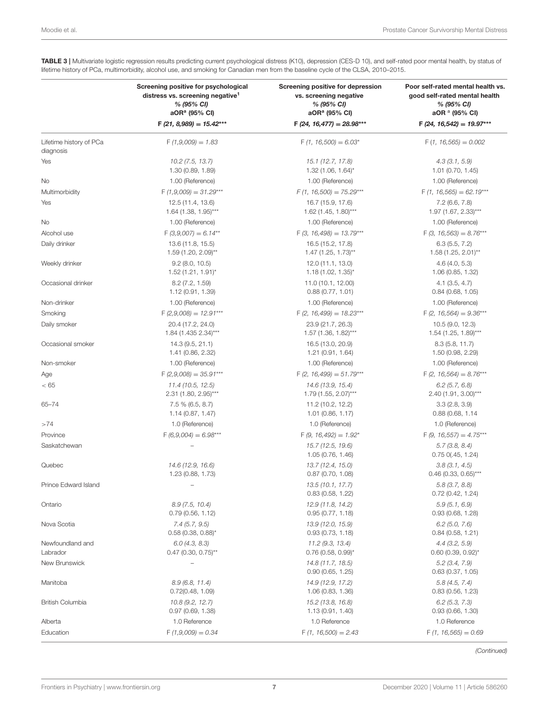|                                      | Screening positive for psychological<br>distress vs. screening negative <sup>1</sup><br>% (95% CI)<br>aOR <sup>a</sup> (95% CI) | Screening positive for depression<br>vs. screening negative<br>% (95% CI)<br>aOR <sup>a</sup> (95% CI) | Poor self-rated mental health vs.<br>good self-rated mental health<br>% (95% CI)<br>aOR <sup>a</sup> (95% CI) |
|--------------------------------------|---------------------------------------------------------------------------------------------------------------------------------|--------------------------------------------------------------------------------------------------------|---------------------------------------------------------------------------------------------------------------|
|                                      | $F(21, 8,989) = 15.42***$                                                                                                       | $F(24, 16, 477) = 28.98***$                                                                            | $F(24, 16, 542) = 19.97***$                                                                                   |
| Lifetime history of PCa<br>diagnosis | $F(1,9,009) = 1.83$                                                                                                             | $F(1, 16,500) = 6.03*$                                                                                 | $F(1, 16, 565) = 0.002$                                                                                       |
| Yes                                  | 10.2(7.5, 13.7)<br>1.30 (0.89, 1.89)                                                                                            | 15.1 (12.7, 17.8)<br>$1.32$ (1.06, 1.64) <sup>*</sup>                                                  | 4.3(3.1, 5.9)<br>1.01 (0.70, 1.45)                                                                            |
| No                                   | 1.00 (Reference)                                                                                                                | 1.00 (Reference)                                                                                       | 1.00 (Reference)                                                                                              |
| Multimorbidity                       | $F(1,9,009) = 31.29***$                                                                                                         | $F(1, 16,500) = 75.29***$                                                                              | $F(1, 16, 565) = 62.19***$                                                                                    |
| Yes                                  | 12.5 (11.4, 13.6)<br>$1.64$ (1.38, 1.95)***                                                                                     | 16.7 (15.9, 17.6)<br>$1.62$ (1.45, 1.80)***                                                            | $7.2$ (6.6, $7.8$ )<br>$1.97$ (1.67, 2.33)***                                                                 |
| No                                   | 1.00 (Reference)                                                                                                                | 1.00 (Reference)                                                                                       | 1.00 (Reference)                                                                                              |
| Alcohol use                          | $F(3,9,007) = 6.14**$                                                                                                           | $F(3, 16,498) = 13.79***$                                                                              | $F(3, 16, 563) = 8.76***$                                                                                     |
| Daily drinker                        | 13.6 (11.8, 15.5)<br>1.59 (1.20, 2.09)**                                                                                        | 16.5 (15.2, 17.8)<br>$1.47$ (1.25, 1.73)**                                                             | 6.3(5.5, 7.2)<br>$1.58(1.25, 2.01)$ **                                                                        |
| Weekly drinker                       | $9.2$ (8.0, 10.5)<br>1.52 (1.21, 1.91)*                                                                                         | 12.0 (11.1, 13.0)<br>$1.18(1.02, 1.35)^{*}$                                                            | 4.6(4.0, 5.3)<br>1.06 (0.85, 1.32)                                                                            |
| Occasional drinker                   | 8.2 (7.2, 1.59)<br>1.12 (0.91, 1.39)                                                                                            | 11.0 (10.1, 12.00)<br>0.88(0.77, 1.01)                                                                 | $4.1$ (3.5, 4.7)<br>0.84(0.68, 1.05)                                                                          |
| Non-drinker                          | 1.00 (Reference)                                                                                                                | 1.00 (Reference)                                                                                       | 1.00 (Reference)                                                                                              |
| Smoking                              | $F(2,9,008) = 12.91***$                                                                                                         | $F(2, 16,499) = 18.23***$                                                                              | $F(2, 16, 564) = 9.36***$                                                                                     |
| Daily smoker                         | 20.4 (17.2, 24.0)<br>1.84 (1.435 2.34)***                                                                                       | 23.9 (21.7, 26.3)<br>1.57 (1.36, 1.82)***                                                              | 10.5(9.0, 12.3)<br>$1.54$ (1.25, 1.89)***                                                                     |
| Occasional smoker                    | 14.3 (9.5, 21.1)<br>1.41 (0.86, 2.32)                                                                                           | 16.5 (13.0, 20.9)<br>1.21 (0.91, 1.64)                                                                 | 8.3(5.8, 11.7)<br>1.50 (0.98, 2.29)                                                                           |
| Non-smoker                           | 1.00 (Reference)                                                                                                                | 1.00 (Reference)                                                                                       | 1.00 (Reference)                                                                                              |
| Age                                  | $F(2,9,008) = 35.91***$                                                                                                         | $F(2, 16,499) = 51.79***$                                                                              | $F(2, 16, 564) = 8.76***$                                                                                     |
| < 65                                 | 11.4 (10.5, 12.5)<br>$2.31$ (1.80, $2.95$ )***                                                                                  | 14.6 (13.9, 15.4)<br>1.79 (1.55, 2.07)***                                                              | 6.2(5.7, 6.8)<br>2.40 (1.91, 3.00)***                                                                         |
| $65 - 74$                            | $7.5\%$ (6.5, 8.7)<br>1.14(0.87, 1.47)                                                                                          | 11.2 (10.2, 12.2)<br>1.01(0.86, 1.17)                                                                  | 3.3(2.8, 3.9)<br>0.88(0.68, 1.14)                                                                             |
| >74                                  | 1.0 (Reference)                                                                                                                 | 1.0 (Reference)                                                                                        | 1.0 (Reference)                                                                                               |
| Province                             | $F(6,9,004) = 6.98***$                                                                                                          | $F(9, 16, 492) = 1.92^*$                                                                               | $F(9, 16, 557) = 4.75***$                                                                                     |
| Saskatchewan                         |                                                                                                                                 | 15.7 (12.5, 19.6)<br>1.05 (0.76, 1.46)                                                                 | 5.7(3.8, 8.4)<br>$0.75$ $0(.45, 1.24)$                                                                        |
| Quebec                               | 14.6 (12.9, 16.6)<br>1.23 (0.88, 1.73)                                                                                          | 13.7 (12.4, 15.0)<br>$0.87$ (0.70, 1.08)                                                               | 3.8(3.1, 4.5)<br>$0.46$ (0.33, 0.65)***                                                                       |
| Prince Edward Island                 | $\overline{\phantom{0}}$                                                                                                        | 13.5 (10.1, 17.7)<br>0.83(0.58, 1.22)                                                                  | 5.8(3.7, 8.8)<br>0.72(0.42, 1.24)                                                                             |
| Ontario                              | 8.9(7.5, 10.4)<br>0.79(0.56, 1.12)                                                                                              | 12.9 (11.8, 14.2)<br>0.95(0.77, 1.18)                                                                  | 5.9(5.1, 6.9)<br>0.93(0.68, 1.28)                                                                             |
| Nova Scotia                          | 7.4(5.7, 9.5)<br>$0.58(0.38, 0.88)^{*}$                                                                                         | 13.9 (12.0, 15.9)<br>0.93(0.73, 1.18)                                                                  | 6.2(5.0, 7.6)<br>0.84(0.58, 1.21)                                                                             |
| Newfoundland and<br>Labrador         | 6.0(4.3, 8.3)<br>$0.47$ (0.30, 0.75) <sup>**</sup>                                                                              | 11.2 (9.3, 13.4)<br>$0.76$ (0.58, 0.99)*                                                               | $4.4$ (3.2, 5.9)<br>$0.60$ (0.39, 0.92)*                                                                      |
| New Brunswick                        |                                                                                                                                 | 14.8 (11.7, 18.5)<br>0.90(0.65, 1.25)                                                                  | 5.2(3.4, 7.9)<br>0.63(0.37, 1.05)                                                                             |
| Manitoba                             | 8.9(6.8, 11.4)<br>0.72(0.48, 1.09)                                                                                              | 14.9 (12.9, 17.2)<br>1.06 (0.83, 1.36)                                                                 | 5.8(4.5, 7.4)<br>0.83(0.56, 1.23)                                                                             |
| <b>British Columbia</b>              | 10.8(9.2, 12.7)<br>0.97(0.69, 1.38)                                                                                             | 15.2 (13.8, 16.8)<br>1.13 (0.91, 1.40)                                                                 | 6.2(5.3, 7.3)<br>0.93(0.66, 1.30)                                                                             |
| Alberta                              | 1.0 Reference                                                                                                                   | 1.0 Reference                                                                                          | 1.0 Reference                                                                                                 |
| Education                            | $F(1,9,009) = 0.34$                                                                                                             | $F(1, 16,500) = 2.43$                                                                                  | $F(1, 16, 565) = 0.69$                                                                                        |

<span id="page-6-0"></span>TABLE 3 | Multivariate logistic regression results predicting current psychological distress (K10), depression (CES-D 10), and self-rated poor mental health, by status of lifetime history of PCa, multimorbidity, alcohol use, and smoking for Canadian men from the baseline cycle of the CLSA, 2010–2015.

(Continued)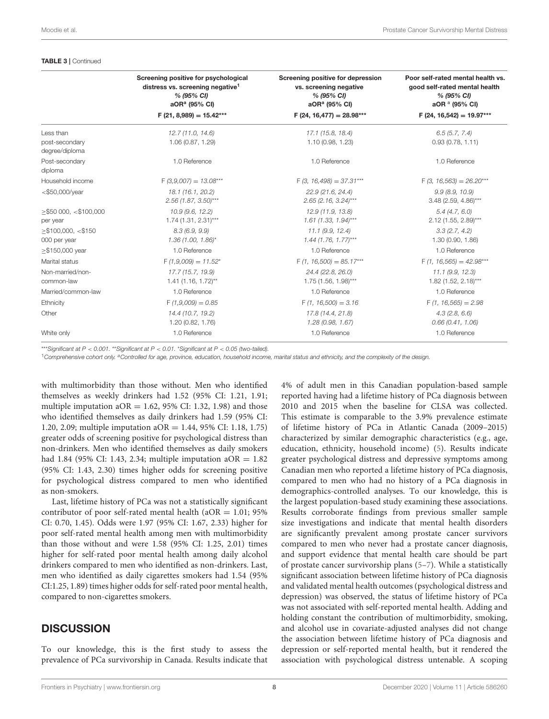#### TABLE 3 | Continued

|                                               | Screening positive for psychological<br>distress vs. screening negative <sup>1</sup><br>% (95% CI)<br>aOR <sup>a</sup> (95% CI) | Screening positive for depression<br>vs. screening negative<br>% (95% CI)<br>aOR <sup>a</sup> (95% CI) | Poor self-rated mental health vs.<br>good self-rated mental health<br>% (95% CI)<br>aOR <sup>a</sup> (95% CI) |
|-----------------------------------------------|---------------------------------------------------------------------------------------------------------------------------------|--------------------------------------------------------------------------------------------------------|---------------------------------------------------------------------------------------------------------------|
|                                               | $F(21, 8,989) = 15.42***$                                                                                                       | $F(24, 16, 477) = 28.98***$                                                                            | $F(24, 16, 542) = 19.97***$                                                                                   |
| Less than<br>post-secondary<br>degree/diploma | 12.7 (11.0, 14.6)<br>1.06 (0.87, 1.29)                                                                                          | 17.1 (15.8, 18.4)<br>1.10 (0.98, 1.23)                                                                 | 6.5(5.7, 7.4)<br>0.93(0.78, 1.11)                                                                             |
| Post-secondary<br>diploma                     | 1.0 Reference                                                                                                                   | 1.0 Reference                                                                                          | 1.0 Reference                                                                                                 |
| Household income                              | $F(3,9,007) = 13.08***$                                                                                                         | $F(3, 16,498) = 37.31***$                                                                              | $F(3, 16, 563) = 26.20***$                                                                                    |
| $<$ \$50,000/year                             | 18.1 (16.1, 20.2)<br>$2.56$ (1.87, 3.50)***                                                                                     | 22.9 (21.6, 24.4)<br>$2.65$ (2.16, 3.24)***                                                            | 9.9(8.9, 10.9)<br>$3.48(2.59, 4.86)***$                                                                       |
| $>$ \$50 000, <\$100,000<br>per year          | 10.9 (9.6, 12.2)<br>$1.74(1.31, 2.31)$ ***                                                                                      | 12.9 (11.9, 13.8)<br>$1.61$ (1.33, 1.94)***                                                            | 5.4(4.7, 6.0)<br>2.12 (1.55, 2.89)***                                                                         |
| $>$ \$100,000, <\$150<br>000 per year         | 8.3(6.9, 9.9)<br>$1.36$ (1.00, 1.86)*                                                                                           | 11.1(9.9, 12.4)<br>$1.44$ (1.76, 1.77)***                                                              | 3.3(2.7, 4.2)<br>1.30 (0.90, 1.86)                                                                            |
| $\ge$ \$150,000 year                          | 1.0 Reference                                                                                                                   | 1.0 Reference                                                                                          | 1.0 Reference                                                                                                 |
| Marital status                                | $F(1,9,009) = 11.52^*$                                                                                                          | $F(1, 16,500) = 85.17***$                                                                              | $F(1, 16, 565) = 42.98***$                                                                                    |
| Non-married/non-<br>common-law                | 17.7 (15.7, 19.9)<br>$1.41(1.16, 1.72)$ **                                                                                      | 24.4 (22.8, 26.0)<br>$1.75(1.56, 1.98)$ ***                                                            | 11.1(9.9, 12.3)<br>$1.82$ (1.52, 2.18)***                                                                     |
| Married/common-law                            | 1.0 Reference                                                                                                                   | 1.0 Reference                                                                                          | 1.0 Reference                                                                                                 |
| Ethnicity                                     | $F(1,9,009) = 0.85$                                                                                                             | $F(1, 16,500) = 3.16$                                                                                  | $F(1, 16, 565) = 2.98$                                                                                        |
| Other                                         | 14.4 (10.7, 19.2)<br>1.20 (0.82, 1.76)                                                                                          | 17.8 (14.4, 21.8)<br>1.28 (0.98, 1.67)                                                                 | 4.3(2.8, 6.6)<br>0.66(0.41, 1.06)                                                                             |
| White only                                    | 1.0 Reference                                                                                                                   | 1.0 Reference                                                                                          | 1.0 Reference                                                                                                 |

\*\*\*Significant at  $P < 0.001$ . \*\*Significant at  $P < 0.01$ . \*Significant at  $P < 0.05$  (two-tailed).

<sup>1</sup>Comprehensive cohort only. <sup>a</sup>Controlled for age, province, education, household income, marital status and ethnicity, and the complexity of the design.

with multimorbidity than those without. Men who identified themselves as weekly drinkers had 1.52 (95% CI: 1.21, 1.91; multiple imputation a $OR = 1.62$ , 95% CI: 1.32, 1.98) and those who identified themselves as daily drinkers had 1.59 (95% CI: 1.20, 2.09; multiple imputation aOR = 1.44, 95% CI: 1.18, 1.75) greater odds of screening positive for psychological distress than non-drinkers. Men who identified themselves as daily smokers had 1.84 (95% CI: 1.43, 2.34; multiple imputation aOR =  $1.82$ (95% CI: 1.43, 2.30) times higher odds for screening positive for psychological distress compared to men who identified as non-smokers.

Last, lifetime history of PCa was not a statistically significant contributor of poor self-rated mental health ( $aOR = 1.01$ ; 95% CI: 0.70, 1.45). Odds were 1.97 (95% CI: 1.67, 2.33) higher for poor self-rated mental health among men with multimorbidity than those without and were 1.58 (95% CI: 1.25, 2.01) times higher for self-rated poor mental health among daily alcohol drinkers compared to men who identified as non-drinkers. Last, men who identified as daily cigarettes smokers had 1.54 (95% CI:1.25, 1.89) times higher odds for self-rated poor mental health, compared to non-cigarettes smokers.

### **DISCUSSION**

To our knowledge, this is the first study to assess the prevalence of PCa survivorship in Canada. Results indicate that 4% of adult men in this Canadian population-based sample reported having had a lifetime history of PCa diagnosis between 2010 and 2015 when the baseline for CLSA was collected. This estimate is comparable to the 3.9% prevalence estimate of lifetime history of PCa in Atlantic Canada (2009–2015) characterized by similar demographic characteristics (e.g., age, education, ethnicity, household income) [\(5\)](#page-10-4). Results indicate greater psychological distress and depressive symptoms among Canadian men who reported a lifetime history of PCa diagnosis, compared to men who had no history of a PCa diagnosis in demographics-controlled analyses. To our knowledge, this is the largest population-based study examining these associations. Results corroborate findings from previous smaller sample size investigations and indicate that mental health disorders are significantly prevalent among prostate cancer survivors compared to men who never had a prostate cancer diagnosis, and support evidence that mental health care should be part of prostate cancer survivorship plans [\(5–](#page-10-4)[7\)](#page-10-5). While a statistically significant association between lifetime history of PCa diagnosis and validated mental health outcomes (psychological distress and depression) was observed, the status of lifetime history of PCa was not associated with self-reported mental health. Adding and holding constant the contribution of multimorbidity, smoking, and alcohol use in covariate-adjusted analyses did not change the association between lifetime history of PCa diagnosis and depression or self-reported mental health, but it rendered the association with psychological distress untenable. A scoping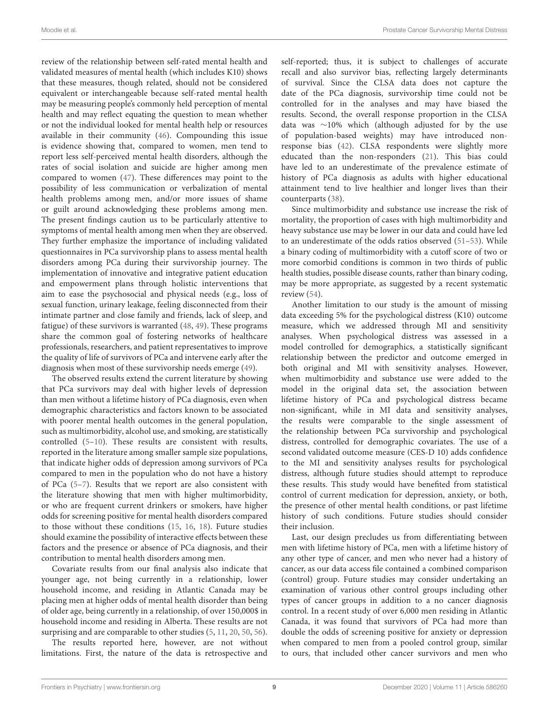review of the relationship between self-rated mental health and validated measures of mental health (which includes K10) shows that these measures, though related, should not be considered equivalent or interchangeable because self-rated mental health may be measuring people's commonly held perception of mental health and may reflect equating the question to mean whether or not the individual looked for mental health help or resources available in their community [\(46\)](#page-11-6). Compounding this issue is evidence showing that, compared to women, men tend to report less self-perceived mental health disorders, although the rates of social isolation and suicide are higher among men compared to women [\(47\)](#page-11-7). These differences may point to the possibility of less communication or verbalization of mental health problems among men, and/or more issues of shame or guilt around acknowledging these problems among men. The present findings caution us to be particularly attentive to symptoms of mental health among men when they are observed. They further emphasize the importance of including validated questionnaires in PCa survivorship plans to assess mental health disorders among PCa during their survivorship journey. The implementation of innovative and integrative patient education and empowerment plans through holistic interventions that aim to ease the psychosocial and physical needs (e.g., loss of sexual function, urinary leakage, feeling disconnected from their intimate partner and close family and friends, lack of sleep, and fatigue) of these survivors is warranted [\(48,](#page-11-8) [49\)](#page-11-9). These programs share the common goal of fostering networks of healthcare professionals, researchers, and patient representatives to improve the quality of life of survivors of PCa and intervene early after the diagnosis when most of these survivorship needs emerge [\(49\)](#page-11-9).

The observed results extend the current literature by showing that PCa survivors may deal with higher levels of depression than men without a lifetime history of PCa diagnosis, even when demographic characteristics and factors known to be associated with poorer mental health outcomes in the general population, such as multimorbidity, alcohol use, and smoking, are statistically controlled [\(5](#page-10-4)[–10\)](#page-10-7). These results are consistent with results, reported in the literature among smaller sample size populations, that indicate higher odds of depression among survivors of PCa compared to men in the population who do not have a history of PCa [\(5](#page-10-4)[–7\)](#page-10-5). Results that we report are also consistent with the literature showing that men with higher multimorbidity, or who are frequent current drinkers or smokers, have higher odds for screening positive for mental health disorders compared to those without these conditions [\(15,](#page-10-15) [16,](#page-10-16) [18\)](#page-10-18). Future studies should examine the possibility of interactive effects between these factors and the presence or absence of PCa diagnosis, and their contribution to mental health disorders among men.

Covariate results from our final analysis also indicate that younger age, not being currently in a relationship, lower household income, and residing in Atlantic Canada may be placing men at higher odds of mental health disorder than being of older age, being currently in a relationship, of over 150,000\$ in household income and residing in Alberta. These results are not surprising and are comparable to other studies [\(5,](#page-10-4) [11,](#page-10-8) [20,](#page-10-19) [50,](#page-11-10) [56\)](#page-11-11).

The results reported here, however, are not without limitations. First, the nature of the data is retrospective and self-reported; thus, it is subject to challenges of accurate recall and also survivor bias, reflecting largely determinants of survival. Since the CLSA data does not capture the date of the PCa diagnosis, survivorship time could not be controlled for in the analyses and may have biased the results. Second, the overall response proportion in the CLSA data was ∼10% which (although adjusted for by the use of population-based weights) may have introduced nonresponse bias [\(42\)](#page-11-2). CLSA respondents were slightly more educated than the non-responders [\(21\)](#page-10-20). This bias could have led to an underestimate of the prevalence estimate of history of PCa diagnosis as adults with higher educational attainment tend to live healthier and longer lives than their counterparts [\(38\)](#page-11-12).

Since multimorbidity and substance use increase the risk of mortality, the proportion of cases with high multimorbidity and heavy substance use may be lower in our data and could have led to an underestimate of the odds ratios observed [\(51–](#page-11-13)[53\)](#page-11-14). While a binary coding of multimorbidity with a cutoff score of two or more comorbid conditions is common in two thirds of public health studies, possible disease counts, rather than binary coding, may be more appropriate, as suggested by a recent systematic review [\(54\)](#page-11-15).

Another limitation to our study is the amount of missing data exceeding 5% for the psychological distress (K10) outcome measure, which we addressed through MI and sensitivity analyses. When psychological distress was assessed in a model controlled for demographics, a statistically significant relationship between the predictor and outcome emerged in both original and MI with sensitivity analyses. However, when multimorbidity and substance use were added to the model in the original data set, the association between lifetime history of PCa and psychological distress became non-significant, while in MI data and sensitivity analyses, the results were comparable to the single assessment of the relationship between PCa survivorship and psychological distress, controlled for demographic covariates. The use of a second validated outcome measure (CES-D 10) adds confidence to the MI and sensitivity analyses results for psychological distress, although future studies should attempt to reproduce these results. This study would have benefited from statistical control of current medication for depression, anxiety, or both, the presence of other mental health conditions, or past lifetime history of such conditions. Future studies should consider their inclusion.

Last, our design precludes us from differentiating between men with lifetime history of PCa, men with a lifetime history of any other type of cancer, and men who never had a history of cancer, as our data access file contained a combined comparison (control) group. Future studies may consider undertaking an examination of various other control groups including other types of cancer groups in addition to a no cancer diagnosis control. In a recent study of over 6,000 men residing in Atlantic Canada, it was found that survivors of PCa had more than double the odds of screening positive for anxiety or depression when compared to men from a pooled control group, similar to ours, that included other cancer survivors and men who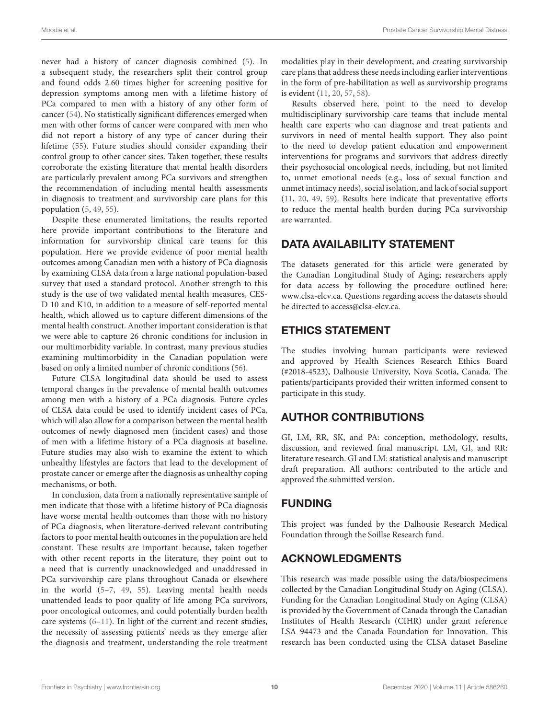never had a history of cancer diagnosis combined [\(5\)](#page-10-4). In a subsequent study, the researchers split their control group and found odds 2.60 times higher for screening positive for depression symptoms among men with a lifetime history of PCa compared to men with a history of any other form of cancer [\(54\)](#page-11-15). No statistically significant differences emerged when men with other forms of cancer were compared with men who did not report a history of any type of cancer during their lifetime [\(55\)](#page-11-16). Future studies should consider expanding their control group to other cancer sites. Taken together, these results corroborate the existing literature that mental health disorders are particularly prevalent among PCa survivors and strengthen the recommendation of including mental health assessments in diagnosis to treatment and survivorship care plans for this population [\(5,](#page-10-4) [49,](#page-11-9) [55\)](#page-11-16).

Despite these enumerated limitations, the results reported here provide important contributions to the literature and information for survivorship clinical care teams for this population. Here we provide evidence of poor mental health outcomes among Canadian men with a history of PCa diagnosis by examining CLSA data from a large national population-based survey that used a standard protocol. Another strength to this study is the use of two validated mental health measures, CES-D 10 and K10, in addition to a measure of self-reported mental health, which allowed us to capture different dimensions of the mental health construct. Another important consideration is that we were able to capture 26 chronic conditions for inclusion in our multimorbidity variable. In contrast, many previous studies examining multimorbidity in the Canadian population were based on only a limited number of chronic conditions [\(56\)](#page-11-11).

Future CLSA longitudinal data should be used to assess temporal changes in the prevalence of mental health outcomes among men with a history of a PCa diagnosis. Future cycles of CLSA data could be used to identify incident cases of PCa, which will also allow for a comparison between the mental health outcomes of newly diagnosed men (incident cases) and those of men with a lifetime history of a PCa diagnosis at baseline. Future studies may also wish to examine the extent to which unhealthy lifestyles are factors that lead to the development of prostate cancer or emerge after the diagnosis as unhealthy coping mechanisms, or both.

In conclusion, data from a nationally representative sample of men indicate that those with a lifetime history of PCa diagnosis have worse mental health outcomes than those with no history of PCa diagnosis, when literature-derived relevant contributing factors to poor mental health outcomes in the population are held constant. These results are important because, taken together with other recent reports in the literature, they point out to a need that is currently unacknowledged and unaddressed in PCa survivorship care plans throughout Canada or elsewhere in the world [\(5](#page-10-4)[–7,](#page-10-5) [49,](#page-11-9) [55\)](#page-11-16). Leaving mental health needs unattended leads to poor quality of life among PCa survivors, poor oncological outcomes, and could potentially burden health care systems [\(6](#page-10-6)[–11\)](#page-10-8). In light of the current and recent studies, the necessity of assessing patients' needs as they emerge after the diagnosis and treatment, understanding the role treatment modalities play in their development, and creating survivorship care plans that address these needs including earlier interventions in the form of pre-habilitation as well as survivorship programs is evident [\(11,](#page-10-8) [20,](#page-10-19) [57,](#page-11-17) [58\)](#page-11-18).

Results observed here, point to the need to develop multidisciplinary survivorship care teams that include mental health care experts who can diagnose and treat patients and survivors in need of mental health support. They also point to the need to develop patient education and empowerment interventions for programs and survivors that address directly their psychosocial oncological needs, including, but not limited to, unmet emotional needs (e.g., loss of sexual function and unmet intimacy needs), social isolation, and lack of social support [\(11,](#page-10-8) [20,](#page-10-19) [49,](#page-11-9) [59\)](#page-11-19). Results here indicate that preventative efforts to reduce the mental health burden during PCa survivorship are warranted.

# DATA AVAILABILITY STATEMENT

The datasets generated for this article were generated by the Canadian Longitudinal Study of Aging; researchers apply for data access by following the procedure outlined here: [www.clsa-elcv.ca.](http://www.clsa-elcv.ca) Questions regarding access the datasets should be directed to [access@clsa-elcv.ca.](mailto:access@clsa-elcv.ca)

# ETHICS STATEMENT

The studies involving human participants were reviewed and approved by Health Sciences Research Ethics Board (#2018-4523), Dalhousie University, Nova Scotia, Canada. The patients/participants provided their written informed consent to participate in this study.

# AUTHOR CONTRIBUTIONS

GI, LM, RR, SK, and PA: conception, methodology, results, discussion, and reviewed final manuscript. LM, GI, and RR: literature research. GI and LM: statistical analysis and manuscript draft preparation. All authors: contributed to the article and approved the submitted version.

# FUNDING

This project was funded by the Dalhousie Research Medical Foundation through the Soillse Research fund.

# ACKNOWLEDGMENTS

This research was made possible using the data/biospecimens collected by the Canadian Longitudinal Study on Aging (CLSA). Funding for the Canadian Longitudinal Study on Aging (CLSA) is provided by the Government of Canada through the Canadian Institutes of Health Research (CIHR) under grant reference LSA 94473 and the Canada Foundation for Innovation. This research has been conducted using the CLSA dataset Baseline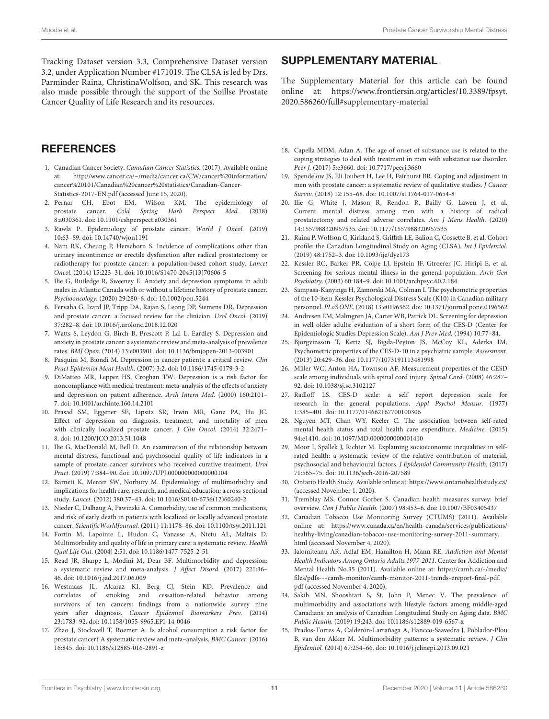Tracking Dataset version 3.3, Comprehensive Dataset version 3.2, under Application Number #171019. The CLSA is led by Drs. Parminder Raina, ChristinaWolfson, and SK. This research was also made possible through the support of the Soillse Prostate Cancer Quality of Life Research and its resources.

### **REFERENCES**

- <span id="page-10-0"></span>1. Canadian Cancer Society. Canadian Cancer Statistics. (2017). Available online at: [http://www.cancer.ca/~/media/cancer.ca/CW/cancer%20information/](http://www.cancer.ca/~/media/cancer.ca/CW/cancer%20information/cancer%20101/Canadian%20cancer%20statistics/Canadian-Cancer-Statistics-2017-EN.pdf) [cancer%20101/Canadian%20cancer%20statistics/Canadian-Cancer-](http://www.cancer.ca/~/media/cancer.ca/CW/cancer%20information/cancer%20101/Canadian%20cancer%20statistics/Canadian-Cancer-Statistics-2017-EN.pdf)[Statistics-2017-EN.pdf](http://www.cancer.ca/~/media/cancer.ca/CW/cancer%20information/cancer%20101/Canadian%20cancer%20statistics/Canadian-Cancer-Statistics-2017-EN.pdf) (accessed June 15, 2020).
- <span id="page-10-1"></span>2. Pernar CH, Ebot EM, Wilson KM. The epidemiology of prostate cancer. Cold Spring Harb Perspect Med. (2018) prostate cancer. Cold Spring Harb 8:a030361. doi: [10.1101/cshperspect.a030361](https://doi.org/10.1101/cshperspect.a030361)
- <span id="page-10-2"></span>3. Rawla P. Epidemiology of prostate cancer. World J Oncol. (2019) 10:63–89. doi: [10.14740/wjon1191](https://doi.org/10.14740/wjon1191)
- <span id="page-10-3"></span>4. Nam RK, Cheung P, Herschorn S. Incidence of complications other than urinary incontinence or erectile dysfunction after radical prostatectomy or radiotherapy for prostate cancer: a population-based cohort study. Lancet Oncol. (2014) 15:223–31. doi: [10.1016/S1470-2045\(13\)70606-5](https://doi.org/10.1016/S1470-2045(13)70606-5)
- <span id="page-10-4"></span>5. Ilie G, Rutledge R, Sweeney E. Anxiety and depression symptoms in adult males in Atlantic Canada with or without a lifetime history of prostate cancer. Psychooncology. (2020) 29:280–6. doi: [10.1002/pon.5244](https://doi.org/10.1002/pon.5244)
- <span id="page-10-6"></span>6. Fervaha G, Izard JP, Tripp DA, Rajan S, Leong DP, Siemens DR. Depression and prostate cancer: a focused review for the clinician. Urol Oncol. (2019) 37:282–8. doi: [10.1016/j.urolonc.2018.12.020](https://doi.org/10.1016/j.urolonc.2018.12.020)
- <span id="page-10-5"></span>7. Watts S, Leydon G, Birch B, Prescott P, Lai L, Eardley S. Depression and anxiety in prostate cancer: a systematic review and meta-analysis of prevalence rates. BMJ Open. (2014) 13:e003901. doi: [10.1136/bmjopen-2013-003901](https://doi.org/10.1136/bmjopen-2013-003901)
- <span id="page-10-13"></span>Pasquini M, Biondi M. Depression in cancer patients: a critical review. Clin Pract Epidemiol Ment Health. (2007) 3:2. doi: [10.1186/1745-0179-3-2](https://doi.org/10.1186/1745-0179-3-2)
- <span id="page-10-10"></span>9. DiMatteo MR, Lepper HS, Croghan TW. Depression is a risk factor for noncompliance with medical treatment: meta-analysis of the effects of anxiety and depression on patient adherence. Arch Intern Med. (2000) 160:2101– 7. doi: [10.1001/archinte.160.14.2101](https://doi.org/10.1001/archinte.160.14.2101)
- <span id="page-10-7"></span>10. Prasad SM, Eggener SE, Lipsitz SR, Irwin MR, Ganz PA, Hu JC. Effect of depression on diagnosis, treatment, and mortality of men with clinically localized prostate cancer. J Clin Oncol. (2014) 32:2471– 8. doi: [10.1200/JCO.2013.51.1048](https://doi.org/10.1200/JCO.2013.51.1048)
- <span id="page-10-8"></span>11. Ilie G, MacDonald M, Bell D. An examination of the relationship between mental distress, functional and psychosocial quality of life indicators in a sample of prostate cancer survivors who received curative treatment. Urol Pract. (2019) 7:384–90. doi: [10.1097/UPJ.000000000000000104](https://doi.org/10.1097/UPJ.000000000000000104)
- <span id="page-10-11"></span>12. Barnett K, Mercer SW, Norbury M. Epidemiology of multimorbidity and implications for health care, research, and medical education: a cross-sectional study. Lancet. (2012) 380:37–43. doi: [10.1016/S0140-6736\(12\)60240-2](https://doi.org/10.1016/S0140-6736(12)60240-2)
- <span id="page-10-9"></span>13. Nieder C, Dalhaug A, Pawinski A. Comorbidity, use of common medications, and risk of early death in patients with localized or locally advanced prostate cancer. ScientificWorldJournal. (2011) 11:1178–86. doi: [10.1100/tsw.2011.121](https://doi.org/10.1100/tsw.2011.121)
- <span id="page-10-14"></span>14. Fortin M, Lapointe L, Hudon C, Vanasse A, Ntetu AL, Maltais D. Multimorbidity and quality of life in primary care: a systematic review. Health Qual Life Out. (2004) 2:51. doi: [10.1186/1477-7525-2-51](https://doi.org/10.1186/1477-7525-2-51)
- <span id="page-10-15"></span>15. Read JR, Sharpe L, Modini M, Dear BF. Multimorbidity and depression: a systematic review and meta-analysis. J Affect Disord. (2017) 221:36– 46. doi: [10.1016/j.jad.2017.06.009](https://doi.org/10.1016/j.jad.2017.06.009)
- <span id="page-10-16"></span>16. Westmaas JL, Alcaraz KI, Berg CJ, Stein KD. Prevalence and correlates of smoking and cessation-related behavior among survivors of ten cancers: findings from a nationwide survey nine years after diagnosis. Cancer Epidemiol Biomarkers Prev. (2014) 23:1783–92. doi: [10.1158/1055-9965.EPI-14-0046](https://doi.org/10.1158/1055-9965.EPI-14-0046)
- <span id="page-10-12"></span>17. Zhao J, Stockwell T, Roemer A. Is alcohol consumption a risk factor for prostate cancer? A systematic review and meta–analysis. BMC Cancer. (2016) 16:845. doi: [10.1186/s12885-016-2891-z](https://doi.org/10.1186/s12885-016-2891-z)

### SUPPLEMENTARY MATERIAL

<span id="page-10-33"></span>The Supplementary Material for this article can be found [online at: https://www.frontiersin.org/articles/10.3389/fpsyt.](https://www.frontiersin.org/articles/10.3389/fpsyt.2020.586260/full#supplementary-material) 2020.586260/full#supplementary-material

- <span id="page-10-18"></span>18. Capella MDM, Adan A. The age of onset of substance use is related to the coping strategies to deal with treatment in men with substance use disorder. Peer J. (2017) 5:e3660. doi: [10.7717/peerj.3660](https://doi.org/10.7717/peerj.3660)
- <span id="page-10-17"></span>19. Spendelow JS, Eli Joubert H, Lee H, Fairhurst BR. Coping and adjustment in men with prostate cancer: a systematic review of qualitative studies. J Cancer Surviv. (2018) 12:155–68. doi: [10.1007/s11764-017-0654-8](https://doi.org/10.1007/s11764-017-0654-8)
- <span id="page-10-19"></span>20. Ilie G, White J, Mason R, Rendon R, Bailly G, Lawen J, et al. Current mental distress among men with a history of radical prostatectomy and related adverse correlates. Am J Mens Health. (2020) 14:1557988320957535. doi: [10.1177/1557988320957535](https://doi.org/10.1177/1557988320957535)
- <span id="page-10-20"></span>21. Raina P, Wolfson C, Kirkland S, Griffith LE, Balion C, Cossette B, et al. Cohort profile: the Canadian Longitudinal Study on Aging (CLSA). Int J Epidemiol. (2019) 48:1752–3. doi: [10.1093/ije/dyz173](https://doi.org/10.1093/ije/dyz173)
- <span id="page-10-21"></span>22. Kessler RC, Barker PR, Colpe LJ, Epstein JF, Gfroerer JC, Hiripi E, et al. Screening for serious mental illness in the general population. Arch Gen Psychiatry. (2003) 60:184–9. doi: [10.1001/archpsyc.60.2.184](https://doi.org/10.1001/archpsyc.60.2.184)
- <span id="page-10-22"></span>23. Sampasa-Kanyinga H, Zamorski MA, Colman I. The psychometric properties of the 10-item Kessler Psychological Distress Scale (K10) in Canadian military personnel. PLoS ONE. (2018) 13:e0196562. doi: [10.1371/journal.pone.0196562](https://doi.org/10.1371/journal.pone.0196562)
- <span id="page-10-23"></span>24. Andresen EM, Malmgren JA, Carter WB, Patrick DL. Screening for depression in well older adults: evaluation of a short form of the CES-D (Center for Epidemiologic Studies Depression Scale). Am J Prev Med. (1994) 10:77–84.
- <span id="page-10-24"></span>25. Björgvinsson T, Kertz SJ, Bigda-Peyton JS, McCoy KL, Aderka IM. Psychometric properties of the CES-D-10 in a psychiatric sample. Assessment. (2013) 20:429–36. doi: [10.1177/1073191113481998](https://doi.org/10.1177/1073191113481998)
- 26. Miller WC, Anton HA, Townson AF. Measurement properties of the CESD scale among individuals with spinal cord injury. Spinal Cord. (2008) 46:287– 92. doi: [10.1038/sj.sc.3102127](https://doi.org/10.1038/sj.sc.3102127)
- <span id="page-10-25"></span>27. Radloff LS. CES-D scale: a self report depression scale for research in the general populations. Appl Psychol Measur. (1977) 1:385–401. doi: [10.1177/014662167700100306](https://doi.org/10.1177/014662167700100306)
- <span id="page-10-26"></span>28. Nguyen MT, Chan WY, Keeler C. The association between self-rated mental health status and total health care expenditure. Medicine. (2015) 94:e1410. doi: [10.1097/MD.0000000000001410](https://doi.org/10.1097/MD.0000000000001410)
- <span id="page-10-27"></span>29. Moor I, Spallek J, Richter M. Explaining socioeconomic inequalities in selfrated health: a systematic review of the relative contribution of material, psychosocial and behavioural factors. J Epidemiol Community Health. (2017) 71:565–75. doi: [10.1136/jech-2016-207589](https://doi.org/10.1136/jech-2016-207589)
- <span id="page-10-28"></span>30. Ontario Health Study. Available online at:<https://www.ontariohealthstudy.ca/> (accessed November 1, 2020).
- <span id="page-10-29"></span>31. Tremblay MS, Connor Gorber S. Canadian health measures survey: brief overview. Can J Public Health. (2007) 98:453–6. doi: [10.1007/BF03405437](https://doi.org/10.1007/BF03405437)
- <span id="page-10-30"></span>32. Canadian Tobacco Use Monitoring Survey (CTUMS) (2011). Available online at: [https://www.canada.ca/en/health-canada/services/publications/](https://www.canada.ca/en/health-canada/services/publications/healthy-living/canadian-tobacco-use-monitoring-survey-2011-summary.html) [healthy-living/canadian-tobacco-use-monitoring-survey-2011-summary.](https://www.canada.ca/en/health-canada/services/publications/healthy-living/canadian-tobacco-use-monitoring-survey-2011-summary.html) [html](https://www.canada.ca/en/health-canada/services/publications/healthy-living/canadian-tobacco-use-monitoring-survey-2011-summary.html) (accessed November 4, 2020).
- <span id="page-10-31"></span>33. Ialomiteanu AR, Adlaf EM, Hamilton H, Mann RE. Addiction and Mental Health Indicators Among Ontario Adults 1977-2011. Center for Addiction and Mental Health No.35 (2011). Available online at: [https://camh.ca/-/media/](https://camh.ca/-/media/files/pdfs---camh-monitor/camh-monitor-2011-trends-ereport-final-pdf.pdf) [files/pdfs---camh-monitor/camh-monitor-2011-trends-ereport-final-pdf.](https://camh.ca/-/media/files/pdfs---camh-monitor/camh-monitor-2011-trends-ereport-final-pdf.pdf) [pdf](https://camh.ca/-/media/files/pdfs---camh-monitor/camh-monitor-2011-trends-ereport-final-pdf.pdf) (accessed November 4, 2020).
- <span id="page-10-32"></span>34. Sakib MN, Shooshtari S, St. John P, Menec V. The prevalence of multimorbidity and associations with lifestyle factors among middle-aged Canadians: an analysis of Canadian Longitudinal Study on Aging data. BMC Public Health. (2019) 19:243. doi: [10.1186/s12889-019-6567-x](https://doi.org/10.1186/s12889-019-6567-x)
- 35. Prados-Torres A, Calderón-Larrañaga A, Hancco-Saavedra J, Poblador-Plou B, van den Akker M. Multimorbidity patterns: a systematic review. J Clin Epidemiol. (2014) 67:254–66. doi: [10.1016/j.jclinepi.2013.09.021](https://doi.org/10.1016/j.jclinepi.2013.09.021)